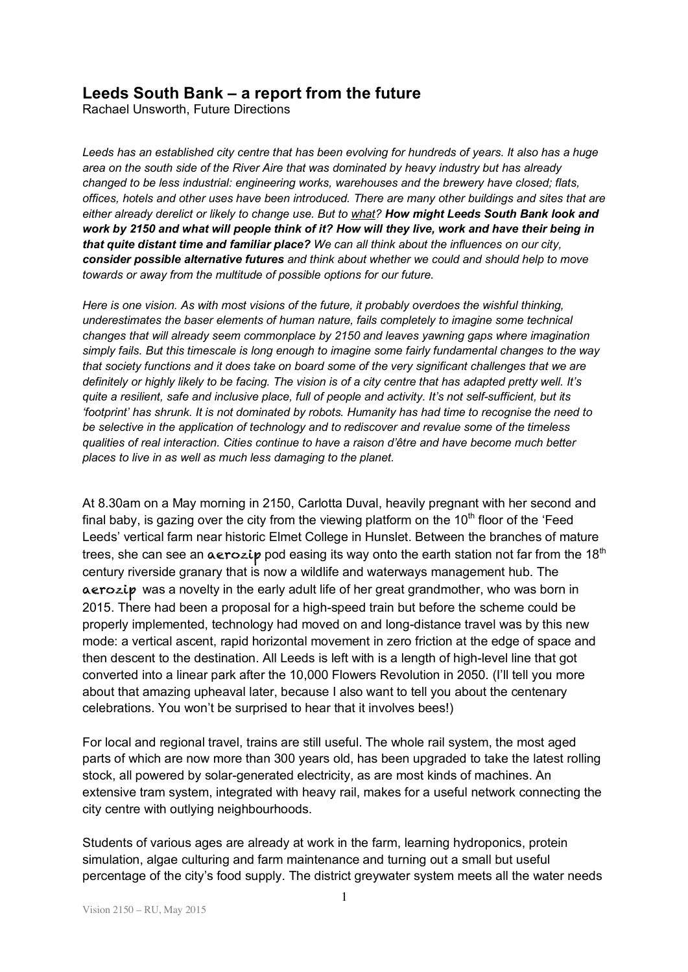## **Leeds South Bank – a report from the future**

Rachael Unsworth, Future Directions

*Leeds has an established city centre that has been evolving for hundreds of years. It also has a huge area on the south side of the River Aire that was dominated by heavy industry but has already changed to be less industrial: engineering works, warehouses and the brewery have closed; flats, offices, hotels and other uses have been introduced. There are many other buildings and sites that are either already derelict or likely to change use. But to what? How might Leeds South Bank look and work by 2150 and what will people think of it? How will they live, work and have their being in that quite distant time and familiar place? We can all think about the influences on our city, consider possible alternative futures and think about whether we could and should help to move towards or away from the multitude of possible options for our future.*

*Here is one vision. As with most visions of the future, it probably overdoes the wishful thinking, underestimates the baser elements of human nature, fails completely to imagine some technical changes that will already seem commonplace by 2150 and leaves yawning gaps where imagination simply fails. But this timescale is long enough to imagine some fairly fundamental changes to the way that society functions and it does take on board some of the very significant challenges that we are definitely or highly likely to be facing. The vision is of a city centre that has adapted pretty well. It's quite a resilient, safe and inclusive place, full of people and activity. It's not self-sufficient, but its 'footprint' has shrunk. It is not dominated by robots. Humanity has had time to recognise the need to be selective in the application of technology and to rediscover and revalue some of the timeless qualities of real interaction. Cities continue to have a raison d'être and have become much better places to live in as well as much less damaging to the planet.*

At 8.30am on a May morning in 2150, Carlotta Duval, heavily pregnant with her second and final baby, is gazing over the city from the viewing platform on the  $10<sup>th</sup>$  floor of the 'Feed Leeds' vertical farm near historic Elmet College in Hunslet. Between the branches of mature trees, she can see an  $\alpha$ erozip pod easing its way onto the earth station not far from the 18<sup>th</sup> century riverside granary that is now a wildlife and waterways management hub. The aerozip was a novelty in the early adult life of her great grandmother, who was born in 2015. There had been a proposal for a high-speed train but before the scheme could be properly implemented, technology had moved on and long-distance travel was by this new mode: a vertical ascent, rapid horizontal movement in zero friction at the edge of space and then descent to the destination. All Leeds is left with is a length of high-level line that got converted into a linear park after the 10,000 Flowers Revolution in 2050. (I'll tell you more about that amazing upheaval later, because I also want to tell you about the centenary celebrations. You won't be surprised to hear that it involves bees!)

For local and regional travel, trains are still useful. The whole rail system, the most aged parts of which are now more than 300 years old, has been upgraded to take the latest rolling stock, all powered by solar-generated electricity, as are most kinds of machines. An extensive tram system, integrated with heavy rail, makes for a useful network connecting the city centre with outlying neighbourhoods.

Students of various ages are already at work in the farm, learning hydroponics, protein simulation, algae culturing and farm maintenance and turning out a small but useful percentage of the city's food supply. The district greywater system meets all the water needs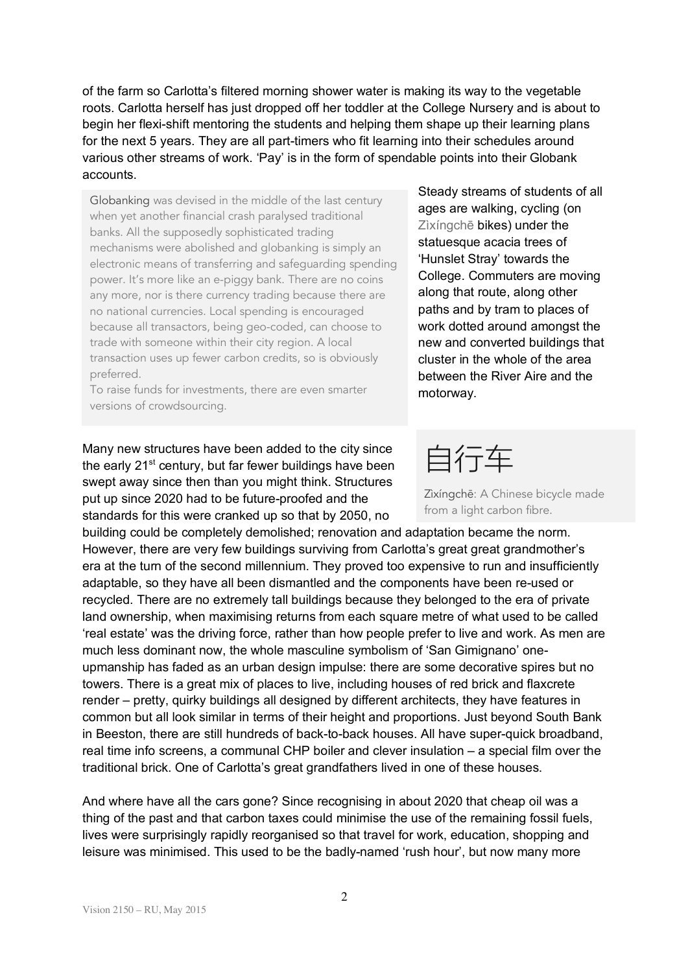of the farm so Carlotta's filtered morning shower water is making its way to the vegetable roots. Carlotta herself has just dropped off her toddler at the College Nursery and is about to begin her flexi-shift mentoring the students and helping them shape up their learning plans for the next 5 years. They are all part-timers who fit learning into their schedules around various other streams of work. 'Pay' is in the form of spendable points into their Globank accounts.

Globanking was devised in the middle of the last century when yet another financial crash paralysed traditional banks. All the supposedly sophisticated trading mechanisms were abolished and globanking is simply an electronic means of transferring and safeguarding spending power. It's more like an e-piggy bank. There are no coins any more, nor is there currency trading because there are no national currencies. Local spending is encouraged because all transactors, being geo-coded, can choose to trade with someone within their city region. A local transaction uses up fewer carbon credits, so is obviously preferred.

To raise funds for investments, there are even smarter versions of crowdsourcing.

Many new structures have been added to the city since the early 21<sup>st</sup> century, but far fewer buildings have been swept away since then than you might think. Structures put up since 2020 had to be future-proofed and the standards for this were cranked up so that by 2050, no

building could be completely demolished; renovation and adaptation became the norm. However, there are very few buildings surviving from Carlotta's great great grandmother's era at the turn of the second millennium. They proved too expensive to run and insufficiently adaptable, so they have all been dismantled and the components have been re-used or recycled. There are no extremely tall buildings because they belonged to the era of private land ownership, when maximising returns from each square metre of what used to be called 'real estate' was the driving force, rather than how people prefer to live and work. As men are much less dominant now, the whole masculine symbolism of 'San Gimignano' oneupmanship has faded as an urban design impulse: there are some decorative spires but no towers. There is a great mix of places to live, including houses of red brick and flaxcrete render – pretty, quirky buildings all designed by different architects, they have features in common but all look similar in terms of their height and proportions. Just beyond South Bank in Beeston, there are still hundreds of back-to-back houses. All have super-quick broadband, real time info screens, a communal CHP boiler and clever insulation – a special film over the traditional brick. One of Carlotta's great grandfathers lived in one of these houses.

And where have all the cars gone? Since recognising in about 2020 that cheap oil was a thing of the past and that carbon taxes could minimise the use of the remaining fossil fuels, lives were surprisingly rapidly reorganised so that travel for work, education, shopping and leisure was minimised. This used to be the badly-named 'rush hour', but now many more

Steady streams of students of all ages are walking, cycling (on Zìxíngchē bikes) under the statuesque acacia trees of 'Hunslet Stray' towards the College. Commuters are moving along that route, along other paths and by tram to places of work dotted around amongst the new and converted buildings that cluster in the whole of the area between the River Aire and the motorway.

自行车

Zìxíngchē: A Chinese bicycle made from a light carbon fibre.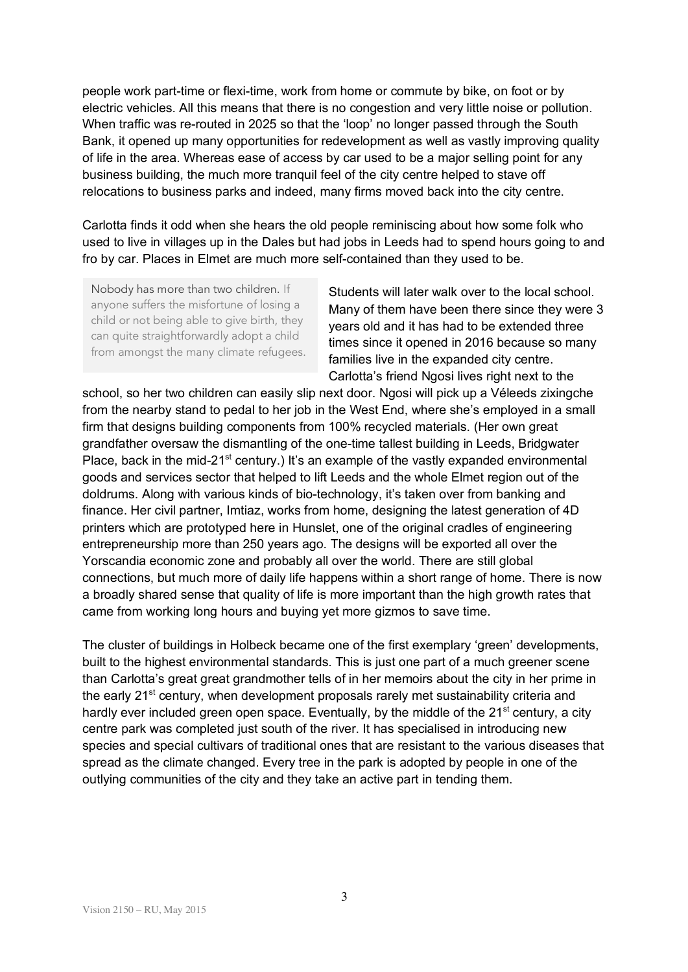people work part-time or flexi-time, work from home or commute by bike, on foot or by electric vehicles. All this means that there is no congestion and very little noise or pollution. When traffic was re-routed in 2025 so that the 'loop' no longer passed through the South Bank, it opened up many opportunities for redevelopment as well as vastly improving quality of life in the area. Whereas ease of access by car used to be a major selling point for any business building, the much more tranquil feel of the city centre helped to stave off relocations to business parks and indeed, many firms moved back into the city centre.

Carlotta finds it odd when she hears the old people reminiscing about how some folk who used to live in villages up in the Dales but had jobs in Leeds had to spend hours going to and fro by car. Places in Elmet are much more self-contained than they used to be.

Nobody has more than two children. If anyone suffers the misfortune of losing a child or not being able to give birth, they can quite straightforwardly adopt a child from amongst the many climate refugees.

Students will later walk over to the local school. Many of them have been there since they were 3 years old and it has had to be extended three times since it opened in 2016 because so many families live in the expanded city centre. Carlotta's friend Ngosi lives right next to the

school, so her two children can easily slip next door. Ngosi will pick up a Véleeds zixingche from the nearby stand to pedal to her job in the West End, where she's employed in a small firm that designs building components from 100% recycled materials. (Her own great grandfather oversaw the dismantling of the one-time tallest building in Leeds, Bridgwater Place, back in the mid-21 $<sup>st</sup>$  century.) It's an example of the vastly expanded environmental</sup> goods and services sector that helped to lift Leeds and the whole Elmet region out of the doldrums. Along with various kinds of bio-technology, it's taken over from banking and finance. Her civil partner, Imtiaz, works from home, designing the latest generation of 4D printers which are prototyped here in Hunslet, one of the original cradles of engineering entrepreneurship more than 250 years ago. The designs will be exported all over the Yorscandia economic zone and probably all over the world. There are still global connections, but much more of daily life happens within a short range of home. There is now a broadly shared sense that quality of life is more important than the high growth rates that came from working long hours and buying yet more gizmos to save time.

The cluster of buildings in Holbeck became one of the first exemplary 'green' developments, built to the highest environmental standards. This is just one part of a much greener scene than Carlotta's great great grandmother tells of in her memoirs about the city in her prime in the early 21<sup>st</sup> century, when development proposals rarely met sustainability criteria and hardly ever included green open space. Eventually, by the middle of the  $21<sup>st</sup>$  century, a city centre park was completed just south of the river. It has specialised in introducing new species and special cultivars of traditional ones that are resistant to the various diseases that spread as the climate changed. Every tree in the park is adopted by people in one of the outlying communities of the city and they take an active part in tending them.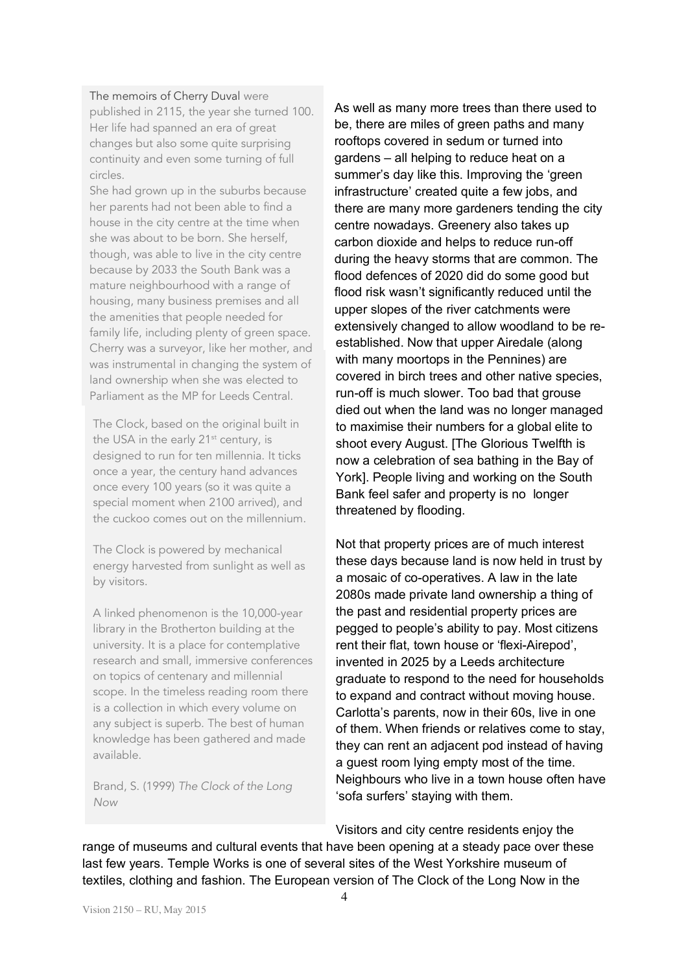## The memoirs of Cherry Duval were

published in 2115, the year she turned 100. Her life had spanned an era of great changes but also some quite surprising continuity and even some turning of full circles.

was instrumental in changing the system of land ownership when she was elected to Parliament as the MP for Leeds Central. She had grown up in the suburbs because her parents had not been able to find a house in the city centre at the time when she was about to be born. She herself, though, was able to live in the city centre because by 2033 the South Bank was a mature neighbourhood with a range of housing, many business premises and all the amenities that people needed for family life, including plenty of green space. Cherry was a surveyor, like her mother, and

The Clock, based on the original built in the USA in the early 21<sup>st</sup> century, is designed to run for ten millennia. It ticks once a year, the century hand advances once every 100 years (so it was quite a special moment when 2100 arrived), and the cuckoo comes out on the millennium.

The Clock is powered by mechanical energy harvested from sunlight as well as by visitors.

A linked phenomenon is the 10,000-year library in the Brotherton building at the university. It is a place for contemplative research and small, immersive conferences on topics of centenary and millennial scope. In the timeless reading room there is a collection in which every volume on any subject is superb. The best of human knowledge has been gathered and made available.

Brand, S. (1999) *The Clock of the Long Now*

As well as many more trees than there used to be, there are miles of green paths and many rooftops covered in sedum or turned into gardens – all helping to reduce heat on a summer's day like this. Improving the 'green infrastructure' created quite a few jobs, and there are many more gardeners tending the city centre nowadays. Greenery also takes up carbon dioxide and helps to reduce run-off during the heavy storms that are common. The flood defences of 2020 did do some good but flood risk wasn't significantly reduced until the upper slopes of the river catchments were extensively changed to allow woodland to be reestablished. Now that upper Airedale (along with many moortops in the Pennines) are covered in birch trees and other native species, run-off is much slower. Too bad that grouse died out when the land was no longer managed to maximise their numbers for a global elite to shoot every August. [The Glorious Twelfth is now a celebration of sea bathing in the Bay of York]. People living and working on the South Bank feel safer and property is no longer threatened by flooding.

Not that property prices are of much interest these days because land is now held in trust by a mosaic of co-operatives. A law in the late 2080s made private land ownership a thing of the past and residential property prices are pegged to people's ability to pay. Most citizens rent their flat, town house or 'flexi-Airepod', invented in 2025 by a Leeds architecture graduate to respond to the need for households to expand and contract without moving house. Carlotta's parents, now in their 60s, live in one of them. When friends or relatives come to stay, they can rent an adjacent pod instead of having a guest room lying empty most of the time. Neighbours who live in a town house often have 'sofa surfers' staying with them.

Visitors and city centre residents enjoy the

range of museums and cultural events that have been opening at a steady pace over these last few years. Temple Works is one of several sites of the West Yorkshire museum of textiles, clothing and fashion. The European version of The Clock of the Long Now in the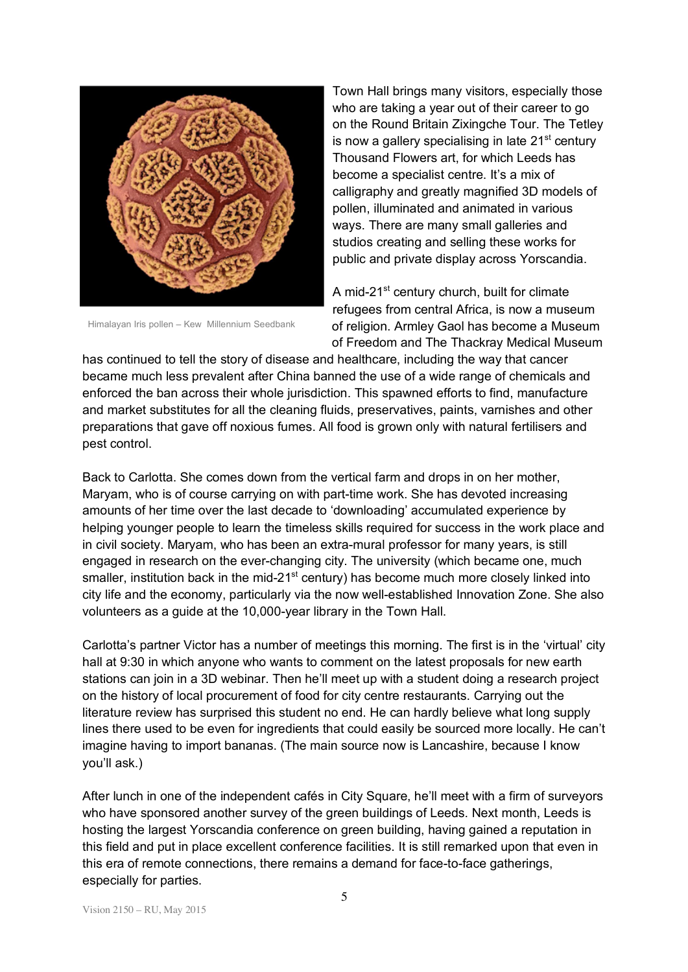

Himalayan Iris pollen – Kew Millennium Seedbank

Town Hall brings many visitors, especially those who are taking a year out of their career to go on the Round Britain Zixingche Tour. The Tetley is now a gallery specialising in late  $21<sup>st</sup>$  century Thousand Flowers art, for which Leeds has become a specialist centre. It's a mix of calligraphy and greatly magnified 3D models of pollen, illuminated and animated in various ways. There are many small galleries and studios creating and selling these works for public and private display across Yorscandia.

A mid-21<sup>st</sup> century church, built for climate refugees from central Africa, is now a museum of religion. Armley Gaol has become a Museum of Freedom and The Thackray Medical Museum

has continued to tell the story of disease and healthcare, including the way that cancer became much less prevalent after China banned the use of a wide range of chemicals and enforced the ban across their whole jurisdiction. This spawned efforts to find, manufacture and market substitutes for all the cleaning fluids, preservatives, paints, varnishes and other preparations that gave off noxious fumes. All food is grown only with natural fertilisers and pest control.

Back to Carlotta. She comes down from the vertical farm and drops in on her mother, Maryam, who is of course carrying on with part-time work. She has devoted increasing amounts of her time over the last decade to 'downloading' accumulated experience by helping younger people to learn the timeless skills required for success in the work place and in civil society. Maryam, who has been an extra-mural professor for many years, is still engaged in research on the ever-changing city. The university (which became one, much smaller, institution back in the mid-21<sup>st</sup> century) has become much more closely linked into city life and the economy, particularly via the now well-established Innovation Zone. She also volunteers as a guide at the 10,000-year library in the Town Hall.

Carlotta's partner Victor has a number of meetings this morning. The first is in the 'virtual' city hall at 9:30 in which anyone who wants to comment on the latest proposals for new earth stations can join in a 3D webinar. Then he'll meet up with a student doing a research project on the history of local procurement of food for city centre restaurants. Carrying out the literature review has surprised this student no end. He can hardly believe what long supply lines there used to be even for ingredients that could easily be sourced more locally. He can't imagine having to import bananas. (The main source now is Lancashire, because I know you'll ask.)

After lunch in one of the independent cafés in City Square, he'll meet with a firm of surveyors who have sponsored another survey of the green buildings of Leeds. Next month, Leeds is hosting the largest Yorscandia conference on green building, having gained a reputation in this field and put in place excellent conference facilities. It is still remarked upon that even in this era of remote connections, there remains a demand for face-to-face gatherings, especially for parties.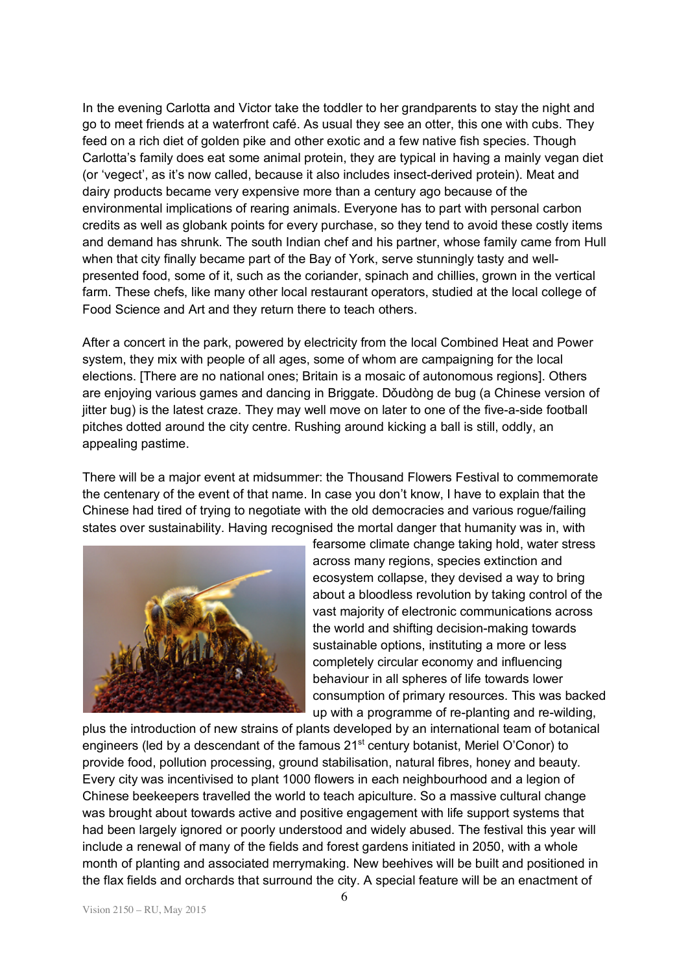In the evening Carlotta and Victor take the toddler to her grandparents to stay the night and go to meet friends at a waterfront café. As usual they see an otter, this one with cubs. They feed on a rich diet of golden pike and other exotic and a few native fish species. Though Carlotta's family does eat some animal protein, they are typical in having a mainly vegan diet (or 'vegect', as it's now called, because it also includes insect-derived protein). Meat and dairy products became very expensive more than a century ago because of the environmental implications of rearing animals. Everyone has to part with personal carbon credits as well as globank points for every purchase, so they tend to avoid these costly items and demand has shrunk. The south Indian chef and his partner, whose family came from Hull when that city finally became part of the Bay of York, serve stunningly tasty and wellpresented food, some of it, such as the coriander, spinach and chillies, grown in the vertical farm. These chefs, like many other local restaurant operators, studied at the local college of Food Science and Art and they return there to teach others.

After a concert in the park, powered by electricity from the local Combined Heat and Power system, they mix with people of all ages, some of whom are campaigning for the local elections. [There are no national ones; Britain is a mosaic of autonomous regions]. Others are enjoying various games and dancing in Briggate. Dǒudòng de bug (a Chinese version of jitter bug) is the latest craze. They may well move on later to one of the five-a-side football pitches dotted around the city centre. Rushing around kicking a ball is still, oddly, an appealing pastime.

There will be a major event at midsummer: the Thousand Flowers Festival to commemorate the centenary of the event of that name. In case you don't know, I have to explain that the Chinese had tired of trying to negotiate with the old democracies and various rogue/failing states over sustainability. Having recognised the mortal danger that humanity was in, with



fearsome climate change taking hold, water stress across many regions, species extinction and ecosystem collapse, they devised a way to bring about a bloodless revolution by taking control of the vast majority of electronic communications across the world and shifting decision-making towards sustainable options, instituting a more or less completely circular economy and influencing behaviour in all spheres of life towards lower consumption of primary resources. This was backed up with a programme of re-planting and re-wilding,

plus the introduction of new strains of plants developed by an international team of botanical engineers (led by a descendant of the famous 21<sup>st</sup> century botanist, Meriel O'Conor) to provide food, pollution processing, ground stabilisation, natural fibres, honey and beauty. Every city was incentivised to plant 1000 flowers in each neighbourhood and a legion of Chinese beekeepers travelled the world to teach apiculture. So a massive cultural change was brought about towards active and positive engagement with life support systems that had been largely ignored or poorly understood and widely abused. The festival this year will include a renewal of many of the fields and forest gardens initiated in 2050, with a whole month of planting and associated merrymaking. New beehives will be built and positioned in the flax fields and orchards that surround the city. A special feature will be an enactment of